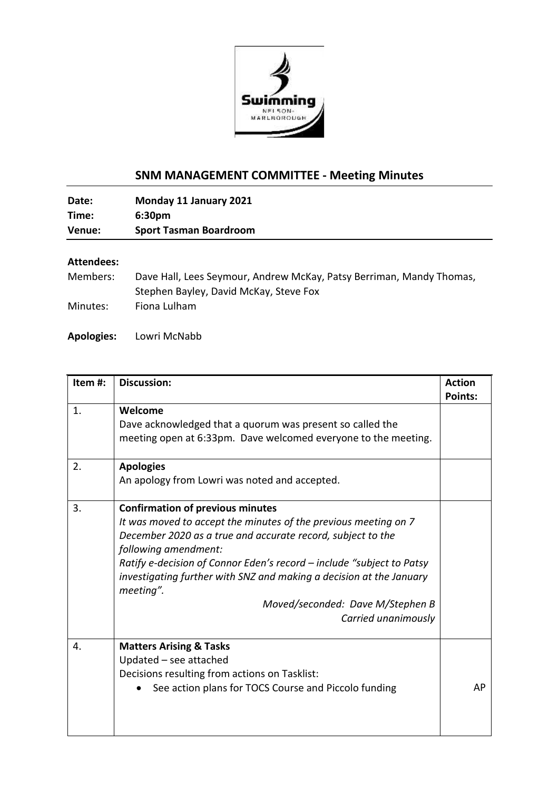

## **SNM MANAGEMENT COMMITTEE - Meeting Minutes**

**Date: Monday 11 January 2021 Time: 6:30pm Venue: Sport Tasman Boardroom**

## **Attendees:**

| Members: | Dave Hall, Lees Seymour, Andrew McKay, Patsy Berriman, Mandy Thomas, |
|----------|----------------------------------------------------------------------|
|          | Stephen Bayley, David McKay, Steve Fox                               |
| Minutes: | Fiona Lulham                                                         |

## **Apologies:** Lowri McNabb

| Item#: | <b>Discussion:</b>                                                                                                                                                                                                                                                                                                                                                                                                        | <b>Action</b><br><b>Points:</b> |
|--------|---------------------------------------------------------------------------------------------------------------------------------------------------------------------------------------------------------------------------------------------------------------------------------------------------------------------------------------------------------------------------------------------------------------------------|---------------------------------|
| 1.     | Welcome<br>Dave acknowledged that a quorum was present so called the<br>meeting open at 6:33pm. Dave welcomed everyone to the meeting.                                                                                                                                                                                                                                                                                    |                                 |
| 2.     | <b>Apologies</b><br>An apology from Lowri was noted and accepted.                                                                                                                                                                                                                                                                                                                                                         |                                 |
| 3.     | <b>Confirmation of previous minutes</b><br>It was moved to accept the minutes of the previous meeting on 7<br>December 2020 as a true and accurate record, subject to the<br>following amendment:<br>Ratify e-decision of Connor Eden's record – include "subject to Patsy<br>investigating further with SNZ and making a decision at the January<br>meeting".<br>Moved/seconded: Dave M/Stephen B<br>Carried unanimously |                                 |
| 4.     | <b>Matters Arising &amp; Tasks</b><br>Updated - see attached<br>Decisions resulting from actions on Tasklist:<br>See action plans for TOCS Course and Piccolo funding                                                                                                                                                                                                                                                     | AP                              |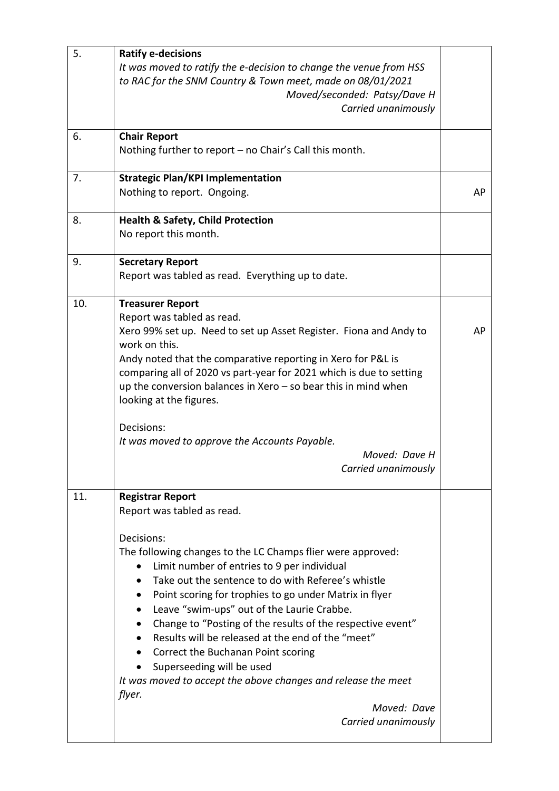| 5.  | <b>Ratify e-decisions</b>                                                                                                           |    |
|-----|-------------------------------------------------------------------------------------------------------------------------------------|----|
|     | It was moved to ratify the e-decision to change the venue from HSS                                                                  |    |
|     | to RAC for the SNM Country & Town meet, made on 08/01/2021<br>Moved/seconded: Patsy/Dave H                                          |    |
|     | Carried unanimously                                                                                                                 |    |
|     |                                                                                                                                     |    |
| 6.  | <b>Chair Report</b>                                                                                                                 |    |
|     | Nothing further to report – no Chair's Call this month.                                                                             |    |
| 7.  | <b>Strategic Plan/KPI Implementation</b>                                                                                            |    |
|     | Nothing to report. Ongoing.                                                                                                         | AP |
| 8.  | <b>Health &amp; Safety, Child Protection</b>                                                                                        |    |
|     | No report this month.                                                                                                               |    |
|     |                                                                                                                                     |    |
| 9.  | <b>Secretary Report</b>                                                                                                             |    |
|     | Report was tabled as read. Everything up to date.                                                                                   |    |
| 10. | <b>Treasurer Report</b>                                                                                                             |    |
|     | Report was tabled as read.                                                                                                          |    |
|     | Xero 99% set up. Need to set up Asset Register. Fiona and Andy to                                                                   | AP |
|     | work on this.                                                                                                                       |    |
|     | Andy noted that the comparative reporting in Xero for P&L is<br>comparing all of 2020 vs part-year for 2021 which is due to setting |    |
|     | up the conversion balances in Xero $-$ so bear this in mind when                                                                    |    |
|     | looking at the figures.                                                                                                             |    |
|     |                                                                                                                                     |    |
|     | Decisions:<br>It was moved to approve the Accounts Payable.                                                                         |    |
|     | Moved: Dave H                                                                                                                       |    |
|     | Carried unanimously                                                                                                                 |    |
| 11. | <b>Registrar Report</b>                                                                                                             |    |
|     | Report was tabled as read.                                                                                                          |    |
|     |                                                                                                                                     |    |
|     | Decisions:                                                                                                                          |    |
|     | The following changes to the LC Champs flier were approved:<br>Limit number of entries to 9 per individual                          |    |
|     | Take out the sentence to do with Referee's whistle                                                                                  |    |
|     | Point scoring for trophies to go under Matrix in flyer                                                                              |    |
|     | Leave "swim-ups" out of the Laurie Crabbe.                                                                                          |    |
|     | Change to "Posting of the results of the respective event"                                                                          |    |
|     | • Results will be released at the end of the "meet"                                                                                 |    |
|     | Correct the Buchanan Point scoring                                                                                                  |    |
|     | Superseeding will be used                                                                                                           |    |
|     | It was moved to accept the above changes and release the meet                                                                       |    |
|     | flyer.<br>Moved: Dave                                                                                                               |    |
|     | Carried unanimously                                                                                                                 |    |
|     |                                                                                                                                     |    |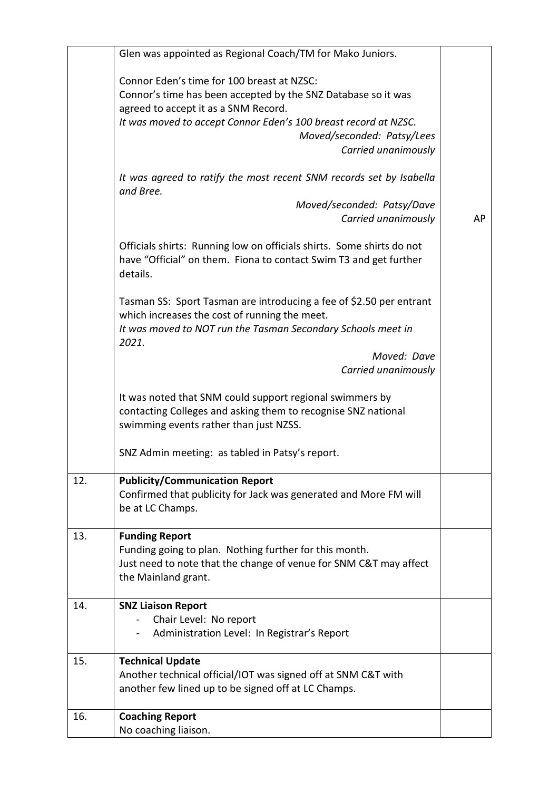|     | Glen was appointed as Regional Coach/TM for Mako Juniors.             |    |
|-----|-----------------------------------------------------------------------|----|
|     |                                                                       |    |
|     | Connor Eden's time for 100 breast at NZSC:                            |    |
|     | Connor's time has been accepted by the SNZ Database so it was         |    |
|     | agreed to accept it as a SNM Record.                                  |    |
|     | It was moved to accept Connor Eden's 100 breast record at NZSC.       |    |
|     | Moved/seconded: Patsy/Lees                                            |    |
|     | Carried unanimously                                                   |    |
|     |                                                                       |    |
|     | It was agreed to ratify the most recent SNM records set by Isabella   |    |
|     | and Bree.                                                             |    |
|     | Moved/seconded: Patsy/Dave                                            |    |
|     | Carried unanimously                                                   | AP |
|     |                                                                       |    |
|     | Officials shirts: Running low on officials shirts. Some shirts do not |    |
|     | have "Official" on them. Fiona to contact Swim T3 and get further     |    |
|     | details.                                                              |    |
|     |                                                                       |    |
|     | Tasman SS: Sport Tasman are introducing a fee of \$2.50 per entrant   |    |
|     | which increases the cost of running the meet.                         |    |
|     | It was moved to NOT run the Tasman Secondary Schools meet in          |    |
|     | 2021.<br>Moved: Dave                                                  |    |
|     | Carried unanimously                                                   |    |
|     |                                                                       |    |
|     | It was noted that SNM could support regional swimmers by              |    |
|     | contacting Colleges and asking them to recognise SNZ national         |    |
|     | swimming events rather than just NZSS.                                |    |
|     |                                                                       |    |
|     | SNZ Admin meeting: as tabled in Patsy's report.                       |    |
|     |                                                                       |    |
| 12. | <b>Publicity/Communication Report</b>                                 |    |
|     | Confirmed that publicity for Jack was generated and More FM will      |    |
|     | be at LC Champs.                                                      |    |
|     |                                                                       |    |
| 13. | <b>Funding Report</b>                                                 |    |
|     | Funding going to plan. Nothing further for this month.                |    |
|     | Just need to note that the change of venue for SNM C&T may affect     |    |
|     | the Mainland grant.                                                   |    |
| 14. | <b>SNZ Liaison Report</b>                                             |    |
|     | Chair Level: No report                                                |    |
|     | Administration Level: In Registrar's Report                           |    |
|     |                                                                       |    |
| 15. | <b>Technical Update</b>                                               |    |
|     | Another technical official/IOT was signed off at SNM C&T with         |    |
|     | another few lined up to be signed off at LC Champs.                   |    |
|     |                                                                       |    |
| 16. | <b>Coaching Report</b>                                                |    |
|     | No coaching liaison.                                                  |    |